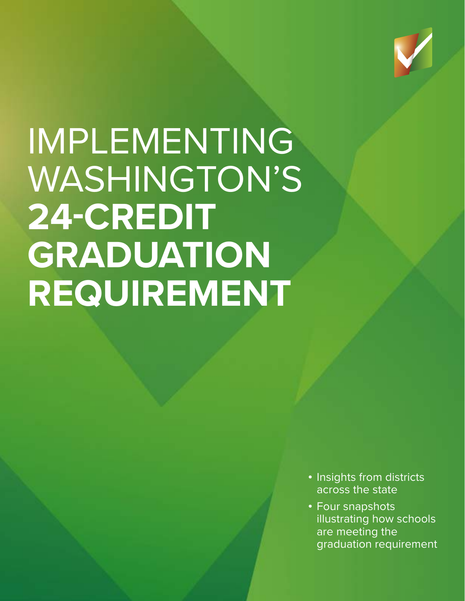

# IMPLEMENTING WASHINGTON'S **24-CREDIT GRADUATION REQUIREMENT**

- Insights from districts across the state
- Four snapshots illustrating how schools are meeting the graduation requirement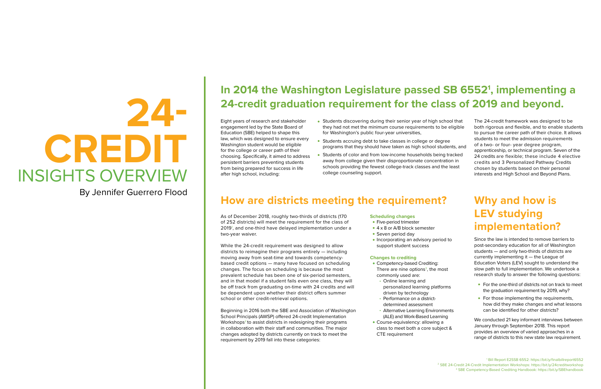#### **Scheduling changes**

- Five-period trimester
- 4 x 8 or A/B block semester
- Seven period day
- Incorporating an advisory period to support student success

### **Changes to crediting**

- Competency-based Crediting: There are nine options<sup>3</sup>, the most commonly used are:
- Online learning and personalized learning platforms driven by technology
- Performance on a districtdetermined assessment
- Alternative Learning Environments (ALE) and Work-Based Learning
- Course-equivalency: allowing a class to meet both a core subject & CTE requirement

# **How are districts meeting the requirement?**

# **24- CREDIT** INSIGHTS OVERVIEW

# **In 2014 the Washington Legislature passed SB 65521 , implementing a 24-credit graduation requirement for the class of 2019 and beyond.**

- For the one-third of districts not on track to meet the graduation requirement by 2019, why?
- For those implementing the requirements, how did they make changes and what lessons can be identified for other districts?

Eight years of research and stakeholder engagement led by the State Board of Education (SBE) helped to shape this law, which was designed to ensure every Washington student would be eligible for the college or career path of their choosing. Specifically, it aimed to address persistent barriers preventing students from being prepared for success in life after high school, including:

# **Why and how is LEV studying implementation?**

Since the law is intended to remove barriers to post-secondary education for all of Washington students — and only two-thirds of districts are currently implementing it — the League of Education Voters (LEV) sought to understand the slow path to full implementation. We undertook a research study to answer the following questions:

We conducted 21 key informant interviews between January through September 2018. This report provides an overview of varied approaches in a range of districts to this new state law requirement.

The 24-credit framework was designed to be both rigorous and flexible, and to enable students to pursue the career path of their choice. It allows students to meet the admission requirements of a two- or four- year degree program, apprenticeship, or technical program. Seven of the 24 credits are flexible; these include 4 elective credits and 3 Personalized Pathway Credits chosen by students based on their personal interests and High School and Beyond Plans.

By Jennifer Guerrero Flood

- Students discovering during their senior year of high school that they had not met the minimum course requirements to be eligible for Washington's public four-year universities,
- Students accruing debt to take classes in college or degree programs that they should have taken as high school students, and
- Students of color and from low-income households being tracked away from college given their disproportionate concentration in schools providing the fewest college-track classes and the least college counseling support.

As of December 2018, roughly two-thirds of districts (170 of 252 districts) will meet the requirement for the class of 2019<sup>1</sup>, and one-third have delayed implementation under a two-year waiver.

While the 24-credit requirement was designed to allow districts to reimagine their programs entirely — including moving away from seat-time and towards competencybased credit options — many have focused on scheduling changes. The focus on scheduling is because the most prevalent schedule has been one of six-period semesters, and in that model if a student fails even one class, they will be off track from graduating on-time with 24 credits and will be dependent upon whether their district offers summer school or other credit-retrieval options.

Beginning in 2016 both the SBE and Association of Washington School Principals (AWSP) offered 24-credit Implementation Workshops<sup>2</sup> to assist districts in redesigning their programs in collaboration with their staff and communities. The major changes adopted by districts currently on track to meet the requirement by 2019 fall into these categories: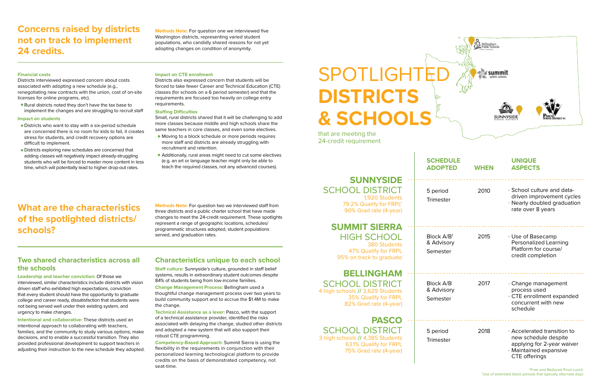#### **Impact on CTE enrollment**

Districts also expressed concern that students will be forced to take fewer Career and Technical Education (CTE) classes (for schools on a 6 period semester) and that the requirements are focused too heavily on college entry requirements.

#### **Staffing Difficulties**

Small, rural districts shared that it will be challenging to add more classes because middle and high schools share the same teachers in core classes, and even some electives.

- Moving to a block schedule or more periods requires more staff and districts are already struggling with recruitment and retention.
- Additionally, rural areas might need to cut some electives (e.g. an art or language teacher might only be able to teach the required classes, not any advanced courses).

#### **Financial costs**

# SPOTLIGHTE **DISTRICTS & SCHOOLS**

Districts interviewed expressed concern about costs associated with adopting a new schedule (e.g., renegotiating new contracts with the union, cost of on-site licenses for online programs, etc).

Rural districts noted they don't have the tax base to implement the changes and are struggling to recruit staff

#### **Impact on students**

- Districts who want to stay with a six-period schedule are concerned there is no room for kids to fail, it creates stress for students, and credit recovery options are difficult to implement.
- Districts exploring new schedules are concerned that adding classes will negatively impact already-struggling students who will be forced to master more content in less time, which will potentially lead to higher drop-out rates.

# **Concerns raised by districts not on track to implement 24 credits.**

# **What are the characteristics of the spotlighted districts/ schools?**

## **SUNNYSIDE**  SCHOOL DISTRICT

1,920 Students 79.2% Qualify for FRPL\* 90% Grad rate (4-year)

## **SUMMIT SIERRA**  HIGH SCHOOL

380 Students 47% Qualify for FRPL 95% on track to graduate

# **BELLINGHAM**

SCHOOL DISTRICT 4 high schools **//** 3,629 Students 35% Qualify for FRPL 82% Grad rate (4-year)

**PASCO** 

SCHOOL DISTRICT 3 high schools **//** 4,385 Students 63.1% Qualify for FRPL 75% Grad rate (4-year) . . . . . . . .

. . . . . . . . .

 $2222222222$ 



that are meeting the 24-credit requirement

## **SCHE ADOF**

. . . . . . . .

| <b>SCHEDULE</b><br><b>ADOPTED</b>          | <b>WHEN</b> | <b>UNIQUE</b><br><b>ASPECTS</b>                                                                                                     |
|--------------------------------------------|-------------|-------------------------------------------------------------------------------------------------------------------------------------|
| 5 period<br><b>Trimester</b>               | 2010        | • School culture and data-<br>driven improvement cycles<br>• Nearly doubled graduation<br>rate over 8 years                         |
| Block $A/B1$<br>& Advisory<br>Semester     | 2015        | • Use of Basecamp<br><b>Personalized Learning</b><br>Platform for course/<br>credit completion                                      |
| <b>Block A/B</b><br>& Advisory<br>Semester | 2017        | • Change management<br>process used<br>• CTE enrollment expanded<br>concurrent with new<br>schedule                                 |
| 5 period<br><b>Trimester</b>               | 2018        | • Accelerated transition to<br>new schedule despite<br>applying for 2-year waiver<br>• Maintained expansive<br><b>CTE</b> offerings |

**Methods Note:** For question one we interviewed five Washington districts, representing varied student populations, who candidly shared reasons for not yet adopting changes on condition of anonymity.

**Methods Note:** For question two we interviewed staff from three districts and a public charter school that have made changes to meet the 24-credit requirement. These spotlights represent a range of geographic locations, schedules/ programmatic structures adopted, student populations served, and graduation rates.

## **Two shared characteristics across all the schools**

**Leadership and teacher conviction:** Of those we interviewed, similar characteristics include districts with vision driven staff who exhibited high expectations, conviction that every student should have the opportunity to graduate college and career ready, dissatisfaction that students were not being served well under their existing system, and urgency to make changes.

**Intentional and collaborative:** These districts used an intentional approach to collaborating with teachers, families, and the community to study various options, make decisions, and to enable a successful transition. They also provided professional development to support teachers in adjusting their instruction to the new schedule they adopted.

## **Characteristics unique to each school**

**Staff culture:** Sunnyside's culture, grounded in staff belief systems, results in extraordinary student outcomes despite 84% of students being from low-income families.

**Change Management Process:** Bellingham used a thoughtful change management process over two years to build community support and to accrue the \$1.4M to make the change.

**Technical Assistance as a lever:** Pasco, with the support of a technical assistance provider, identified the risks associated with delaying the change, studied other districts and adopted a new system that will also support their robust CTE programming.

**Competency-Based Approach:** Summit Sierra is using the flexibility in the requirements in conjunction with their personalized learning technological platform to provide credits on the basis of demonstrated competency, not seat-time.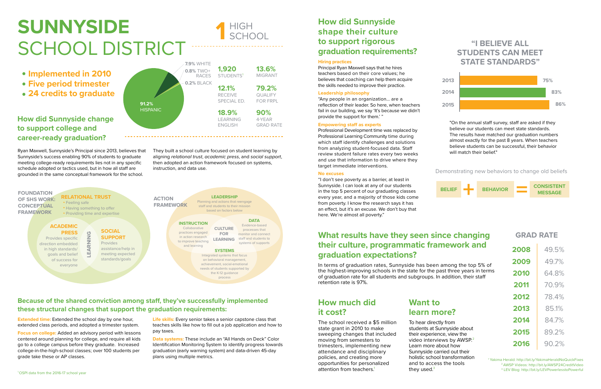# **SUNNYSIDE**  SCHOOL DISTRICT



**Extended time:** Extended the school day by one hour, extended class periods, and adopted a trimester system. Life skills: Every senior takes a senior capstone class that teaches skills like how to fill out a job application and how to pay taxes.

## **How did Sunnyside change to support college and career-ready graduation?**

## **Because of the shared conviction among staff, they've successfully implemented these structural changes that support the graduation requirements:**

Ryan Maxwell, Sunnyside's Principal since 2013, believes that Sunnyside's success enabling 90% of students to graduate meeting college-ready requirements lies not in any specific schedule adopted or tactics used, but in how all staff are grounded in the same conceptual framework for the school.

**Focus on college:** Added an advisory period with lessons centered around planning for college, and require all kids go to a college campus before they graduate. Increased college-in-the-high-school classes; over 100 students per grade take these or AP classes.

**Data systems:** These include an "All Hands on Deck" Color Identification Monitoring System to identify progress towards graduation (early warning system) and data-driven 45-day plans using multiple metrics.

1 Yakima Herald: [http://bit.ly/YakimaHeraldNoQuickFixes](http://www.yakimaherald.com/news/education/no-quick-fixes-principal-of-the-year-on-how-his/article_f14b439c-1606-11e8-aad7-3fdf31ef4065.html) 2 AWSP Videos: [http://bit.ly/AWSP24CreditVideo](http://www.awsp.org/professional-learning/video-workshops/24-credit-video-intro-landing/24-credit-video-workshop---3) <sup>3</sup> LEV Blog: [http://bit.ly/LEVPowerlesstoPowerful](https://educationvoters.org/2017/11/27/powerless-powerful/)

- **Implemented in 2010**
- **Five period trimester**
- **24 credits to graduate**

## **What results have they seen since changing their culture, programmatic framework and graduation expectations?**



The school received a \$5 million state grant in 2010 to make sweeping changes that included moving from semesters to trimesters, implementing new attendance and disciplinary policies, and creating more opportunities for personalized attention from teachers.<sup>1</sup>

In terms of graduation rates, Sunnyside has been among the top 5% of the highest-improving schools in the state for the past three years in terms of graduation rate for all students and subgroups. In addition, their staff retention rate is 97%.

> To hear directly from students at Sunnyside about their experience, view the video interviews by AWSP.<sup>2</sup> Learn more about how Sunnyside carried out their and to access the tools they used. $3$

# **How did Sunnyside shape their culture to support rigorous graduation requirements?**

#### **Hiring practices**

Principal Ryan Maxwell says that he hires teachers based on their core values; he believes that coaching can help them acquire the skills needed to improve their practice.

#### **Leadership philosophy**

"Any people in an organization… are a reflection of their leader. So here, when teachers fail in our building, we say 'It's because we didn't provide the support for them.' "

#### **Empowering staff as experts**

Professional Development time was replaced by Professional Learning Community time during which staff identify challenges and solutions from analyzing student-focused data. Staff review student failure rates every two weeks and use that information to drive where they target immediate interventions.

### **No excuses**

"I don't see poverty as a barrier, at least in Sunnyside. I can look at any of our students in the top 5 percent of our graduating classes every year, and a majority of those kids come from poverty. I know the research says it has an effect, but it's an excuse. We don't buy that here. We're almost all poverty."

Demonstrating new behaviors to change old beliefs



**GRAD RATE**

| 2008 | 49.5% |
|------|-------|
| 2009 | 49.7% |
| 2010 | 64.8% |
| 2011 | 70.9% |
| 2012 | 78.4% |
| 2013 | 85.1% |
| 2014 | 84.7% |
| 2015 | 89.2% |
| 2016 | 90.2% |

# **"I BELIEVE ALL STUDENTS CAN MEET STATE STANDARDS"**



"On the annual staff survey, staff are asked if they believe our students can meet state standards. The results have matched our graduation numbers almost exactly for the past 8 years. When teachers believe students can be successful, their behavior will match their belief."

They built a school culture focused on student learning by aligning *relational trust*, *academic press*, and *social support*, then adopted an action framework focused on systems, instruction, and data use.

## **How much did it cost?**

# **Want to learn more?**

holistic school transformation

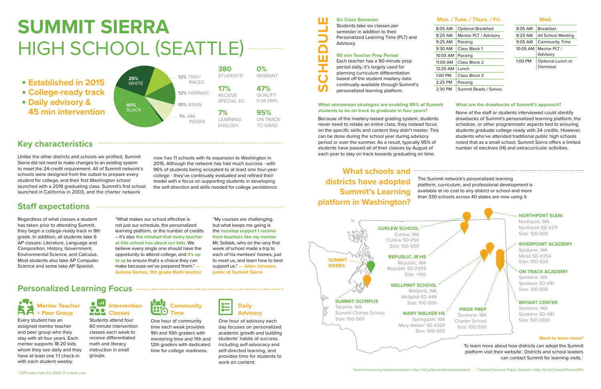# **SUMMIT SIERRA**  HIGH SCHOOL (SEATTLE)

# **Key characteristics**

Because of the mastery-based grading system, students never need to retake an entire class, they instead focus on the specific skills and content they didn't master. This can be done during the school year during advisory period or over the summer. As a result, typically 95% of students have passed all of their classes by August of each year to stay on track towards graduating on time.

- **Established in 2015**
- **College-ready track**
- **Daily advisory & 45 min intervention**

### **Mon. / Tues. / Thurs. / Fri.**

| 8:05 AM    | <b>Optional Breakfast</b> |  |
|------------|---------------------------|--|
| $8:20$ AM  | Mentor PLT / Advisory     |  |
| $9:25$ AM  | Passing                   |  |
| $9:30$ AM  | Class Block 1             |  |
| $10:55$ AM | Passing                   |  |
| 11:00 AM   | Class Block 2             |  |
| $12:25$ AM | Lunch                     |  |
| $1:00$ PM  | Class Block 3             |  |
| $2:25$ PM  | Passing                   |  |
| $2:30$ PM  | Summit Reads / Solves     |  |

**Wed.**

| $8:05$ AM  | <b>Rreakfast</b>                      |
|------------|---------------------------------------|
| $8:20$ AM  | All School Meeting                    |
| $9:05$ AM  | <b>Community Time</b>                 |
| $10:05$ AM | Mentor PLT /<br>Advisory              |
| 1:00 PM    | Optional Lunch or<br><b>Dismissal</b> |

## **Six Class Semester**

Students take six classes per semester in addition to their Personalized Learning Time (PLT) and Advisory.

## **90 min Teacher Prep Period**

Each teacher has a 90-minute prep period daily; it's largely used for planning curriculum differentiation based off the student mastery data continually available through Summit's personalized learning platform.

# **Staff expectations**

#### **What uncommon strategies are enabling 95% of Summit students to be on track to graduate in four years? What are the drawbacks of Summit's approach?**

"What makes our school effective is not just our schedule, the personalized learning platform, or the number of credits – it's also **the mindset that every teacher at this school has about our kids**. We believe every single one should have the opportunity to attend college, and **it's up to us** to ensure that's a choice they can make because we've prepared them." **— Aubree Gomez, 9th grade Math teacher** 

## **Personalized Learning Focus**

### **Mentor Teacher AA + Peer Group**

Every student has an assigned mentor teacher and peer group who they stay with all four years. Each mentor supports 18-20 kids whom they see daily and they have at least one 1:1 check-in with each student weekly.



One hour of advisory each day focuses on personalized academic growth and building students' habits of success, including self-advocacy and self-directed learning, and provides time for students to work on content.

## **Intervention Classes**

Students attend four 60 minute intervention classes each week to receive differentiated math and literacy instruction in small groups.



One hour of community time each week provides 9th and 10th graders with mentoring time and 11th and 12th graders with dedicated time for college readiness.



Regardless of what classes a student has taken prior to attending Summit, they begin a college-ready track in 9th grade. In addition, all students take 6 AP classes: Literature, Language and Composition, History, Government, Environmental Science, and Calculus. Most students also take AP Computer Science and some take AP Spanish.

None of the staff or students interviewed could identify drawbacks of Summit's personalized learning platform, the schedule, or other programmatic aspects tied to ensuring students graduate college-ready with 24 credits. However, students who've attended traditional public high schools noted that as a small school, Summit Sierra offers a limited number of electives (14) and extracurricular activities.

# **What schools and districts have adopted Summit's Learning platform in Washington?**

Unlike the other districts and schools we profiled, Summit Sierra did not need to make changes to an existing system to meet the 24-credit requirement. All of Summit network's schools were designed from the outset to prepare every student for college, and their first Washington school launched with a 2019 graduating class. Summit's first school launched in California in 2003, and the charter network



now has 11 schools with its expansion to Washington in 2015. Although the network has had much success - with 96% of students being accepted to at least one four-year college - they've continually evaluated and refined their model with a focus on supporting students in developing the self-direction and skills needed for college persistence.

**SCHEDULE** 

 $\Box$ m

> The Summit network's personalized learning platform, curriculum, and professional development is available at no cost to any district or school and more than 330 schools across 40 states are now using it.

platform visit their website.<sup>1</sup> Districts and school leaders



### "My courses are challenging, but what keeps me going is the **nonstop support I receive from teachers like my mentor**  Mr. Sobiek, who on the very first week of school made a trip to each of his mentees' homes, just to meet us, and learn how to best support us." **— Jalen Johnson, junior at Summit Sierra**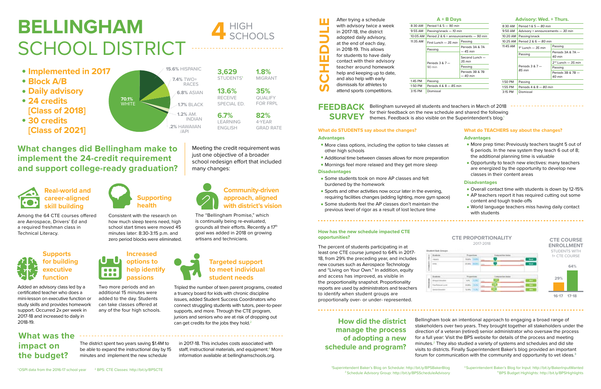**1.8%**  MIGRANT

**3,629**  STUDENTS<sup>1</sup>

 $4$  HIGH

**82%**  4-YEAR GRAD RATE

**35%** QUALIFY FOR FRPL

**13.6%**  RECEIVE SPECIAL ED.

**6.7%** LEARNING ENGLISH

# **BELLINGHAM**  SCHOOL DISTRICT

- **Implemented in 2017**
- **Block A/B**
- **Daily advisory**
- **24 credits [Class of 2018]**
- **30 credits [Class of 2021]**

# **What changes did Bellingham make to implement the 24-credit requirement and support college-ready graduation?**



Meeting the credit requirement was just one objective of a broader school redesign effort that included many changes:

Tripled the number of teen parent programs, created a truancy board for kids with chronic discipline issues, added Student Success Coordinators who connect struggling students with tutors, peer-to-peer supports, and more. Through the CTE program, juniors and seniors who are at risk of dropping out can get credits for the jobs they hold. $2$ 



**health**

**Increased options to help identify passions**

## **Real-world and career-aligned skill building**

## **Supports for building executive function**

# **Targeted support to meet individual student needs**

## **Community-driven approach, aligned with district's vision**

Consistent with the research on how much sleep teens need, high school start times were moved 45 minutes later: 8:30-3:15 p.m. and zero period blocks were eliminated.

Two more periods and an additional 15 minutes were added to the day. Students can take classes offered at any of the four high schools.

OOO **...** 

Among the 64 CTE courses offered are Aerospace, Drivers' Ed and a required freshman class in Technical Literacy.



Added an advisory class led by a certificated teacher who does a mini-lesson on executive function or study skills and provides homework support. Occurred 2x per week in 2017-18 and increased to daily in 2018-19.

The "Bellingham Promise," which is continually being re-evaluated, grounds all their efforts. Recently a 17<sup>th</sup> goal was added in 2018 on growing artisans and technicians.

## **FEEDBACK SURVEY**

#### **What do TEACHERS say about the changes?**

#### **Advantages**

- More prep time**:** Previously teachers taught 5 out of 6 periods. In the new system they teach 6 out of 8; the additional planning time is valuable
	- Opportunity to teach new electives: many teachers are energized by the opportunity to develop new classes in their content areas

Bellingham surveyed all students and teachers in March of 2018 for their feedback on the new schedule and shared the following themes. Feedback is also visible on the Superintendent's blog.<sup>1</sup>

#### **Disadvantages**

- Overall contact time with students is down by 12-15%
- AP teachers report it has required cutting out some content and tough trade-offs
- World language teachers miss having daily contact with students

## **What do STUDENTS say about the changes?**

### **Advantages**

- More class options, including the option to take classes at other high schools
- Additional time between classes allows for more preparation
- Mornings feel more relaxed and they get more sleep

## **Disadvantages**

- Some students took on more AP classes and felt burdened by the homework
- Sports and other activities now occur later in the evening, requiring facilities changes (adding lighting, more gym space)
- Some students feel the AP classes don't maintain the previous level of rigor as a result of lost lecture time

### **How has the new schedule impacted CTE opportunities?**



The percent of students participating in at least one CTE course jumped to 64% in 2017- 18, from 29% the preceding year, and includes new courses such as Aerospace Technology and "Living on Your Own." In addition, equity and access has improved, as visible in the proportionality snapshot. Proportionality reports are used by administrators and teachers to identify when student groups are proportionally over- or under- represented.

| After trying a schedule<br>with advisory twice a week<br>in 2017-18, the district<br>adopted daily advisory,<br>at the end of each day,<br>in 2018-19. This allows<br>for students to have daily<br>contact with their advisory<br>teacher around homework<br>help and keeping up to date,<br>and also help with early<br>dismissals for athletes to<br>attend sports competitions. |
|-------------------------------------------------------------------------------------------------------------------------------------------------------------------------------------------------------------------------------------------------------------------------------------------------------------------------------------------------------------------------------------|
|                                                                                                                                                                                                                                                                                                                                                                                     |

**How did the district manage the process of adopting a new schedule and program?**

#### **A + B Days**

#### **Advisory: Wed. + Thurs.**

| 8:30 AM                     | Period $1 & 5 - 90$ min                  |                             |         | 8:30 AM           | Period 1 & 5 - 80 min             |                     |
|-----------------------------|------------------------------------------|-----------------------------|---------|-------------------|-----------------------------------|---------------------|
| 9:55 AM                     | Passing/snack - 10 min                   |                             |         | 9:50 AM           | Advisory + announcements - 30 min |                     |
| 10:05 AM                    | Period 2 & $6 +$ announcements $-90$ min |                             |         | 10:20 AM          | Passing/snack                     |                     |
| 11:35 AM                    | First Lunch $-35$ min                    | Passing                     |         | $10:25$ AM        | Period $2 & 6 - 80$ min           |                     |
|                             |                                          | Periods 3A & 7A<br>— 45 min |         | 11:45 AM          | $1st$ Lunch $-35$ min             | Passing             |
|                             | Passing                                  |                             |         |                   |                                   |                     |
|                             |                                          |                             |         | Passing           | Periods $3A & 7A -$               |                     |
|                             |                                          | Second Lunch -              |         |                   | 40 min                            |                     |
| Periods $3 & 7 -$<br>90 min | 35 min                                   |                             |         | Periods $3 & 7 -$ | $2nd$ Lunch $-35$ min             |                     |
|                             | Passing                                  |                             |         |                   | Passing                           |                     |
|                             |                                          | Periods 3B & 7B             |         |                   | 85 min                            | Periods $3B & 7B -$ |
|                             |                                          | $-40$ min                   |         |                   |                                   | 40 min              |
| 1:45 PM                     | Passing                                  |                             |         | 1:50 PM           | Passing                           |                     |
| 1:50 PM                     | Periods $4 & 8 - 85$ min                 |                             |         | 1:55 PM           | Periods $4 & 8 - 80$ min          |                     |
| 3:15 PM                     | Dismissal                                |                             |         |                   |                                   |                     |
|                             |                                          |                             | 3:15 PM | Dismissal         |                                   |                     |

The district spent two years saving \$1.4M to be able to expand the instructional day by 15 minutes and implement the new schedule



## **What was the impact on the budget?**

8:30 AM Period 1 &

Bellingham took an intentional approach to engaging a broad range of stakeholders over two years. They brought together all stakeholders under the direction of a veteran (retired) senior administrator who oversaw the process for a full year: Visit the BPS website for details of the process and meeting minutes.2 They also studied a variety of systems and schedules and did site visits to districts. Finally Superintendent Baker's blog provided an important forum for communication with the community and opportunity to vet ideas. 3

### in 2017-18. This includes costs associated with staff, instructional materials, and equipment.<sup>4</sup> More information available at [bellinghamschools.org](http://bellinghamschools.org).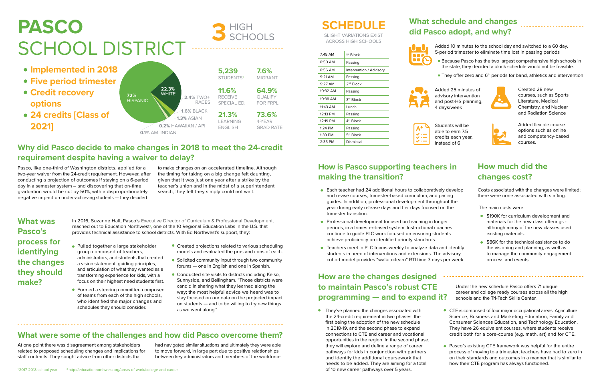- CTE is comprised of four major occupational areas: Agriculture Science, Business and Marketing Education, Family and Consumer Sciences Education, and Technology Education. They have 26 equivalent courses, where students receive credit both for a core-course (e.g. math, art) and for CTE.
- **Pasco's existing CTE framework was helpful for the entire** process of moving to a trimester; teachers have had to zero in on their standards and outcomes in a manner that is similar to how their CTE program has always functioned.

**•** They've planned the changes associated with the 24-credit requirement in two phases: the first being the adoption of the new schedule in 2018-19, and the second phase to expand connections to CTE and career and vocational opportunities in the region. In the second phase, they will explore and define a range of career pathways for kids in conjunction with partners and identify the additional coursework that needs to be added. They are aiming for a total of 10 new career pathways over 5 years.

dded 10 minutes to the school day and switched to a 60 day, 5-period trimester to eliminate time lost in passing periods

# **PASCO** SCHOOL DISTRICT

HIGH

# **Why did Pasco decide to make changes in 2018 to meet the 24-credit requirement despite having a waiver to delay?**

udents will be able to earn 7.5 edits each year, instead of 6



- **Implemented in 2018**
- **Five period trimester**
- **Credit recovery options**
- **24 credits [Class of 2021]**

**What was Pasco's process for identifying the changes they should make?** 

## **What were some of the challenges and how did Pasco overcome them?**

# **What schedule and changes did Pasco adopt, and why?**

# **How is Pasco supporting teachers in making the transition?**

# **How are the changes designed to maintain Pasco's robust CTE programming — and to expand it?**

Under the new schedule Pasco offers 71 unique career and college ready courses across all the high schools and the Tri-Tech Skills Center.

Because Pasco has the two largest comprehensive high schools in the state, they decided a block schedule would not be feasible.

**• They offer zero and 6<sup>th</sup> periods for band, athletics and intervention** 

- Pulled together a large stakeholder Created projections related to various scheduling models and evaluated the pros and cons of each.
	- Solicited community input through two community forums — one in English and one in Spanish.
	- Conducted site visits to districts including Kelso, Sunnyside, and Bellingham. "Those districts were candid in sharing what they learned along the way; the most helpful advice we heard was to stay focused on our data on the projected impact on students — and to be willing to try new things as we went along."

In 2016, Suzanne Hall, Pasco's Executive Director of Curriculum & Professional Development, reached out to Education Northwest<sup>2</sup>, one of the 10 Regional Education Labs in the U.S. that

Added 25 minutes of advisory intervention and post-HS planning, 4 days/week



Created 28 new courses, such as Sports Literature, Medical Chemistry, and Nuclear and Radiation Science

Added flexible course options such as online and competency-based courses.

Pasco, like one-third of Washington districts, applied for a two-year waiver from the 24-credit requirement. However, after conducting a projection of outcomes if staying on a 6-period day in a semester system – and discovering that on-time graduation would be cut by 50%, with a disproportionately negative impact on under-achieving students — they decided

- Each teacher had 24 additional hours to collaboratively develop and revise courses, trimester-based curriculum, and pacing guides. In addition, professional development throughout the year during early release days and tier days focused on the trimester transition.
- **Professional development focused on teaching in longer** periods, in a trimester-based system. Instructional coaches continue to guide PLC work focused on ensuring students achieve proficiency on identified priority standards.
- Teachers meet in PLC teams weekly to analyze data and identify students in need of interventions and extensions. The advisory cohort model provides "walk-to-learn" RTI time 3 days per week.

to make changes on an accelerated timeline. Although the timing for taking on a big change felt daunting, given that it was just one year after a strike by the teacher's union and in the midst of a superintendent search, they felt they simply could not wait.

- **\$190K for curriculum development and** materials for the new class offerings although many of the new classes used existing materials.
- **\$86K** for the technical assistance to do the visioning and planning, as well as to manage the community engagement process and events.

**0.1%** AM. INDIAN **0.2%** HAWAIIAN / API **1.6%** BLACK **72% MHILE** 2.4% TWO+<br>HISPANIC **2.4% TWO+** RACES **1.3%** ASIAN **22.3% 11.6%**<br>**2.4% TWO+** RECEIVE

group composed of teachers,

administrators, and students that created a vision statement, guiding principles, and articulation of what they wanted as a transforming experience for kids, with a focus on their highest need students first. **• Formed a steering committee composed** of teams from each of the high schools, who identified the major changes and schedules they should consider.

provides technical assistance to school districts. With Ed Northwest's support, they:

At one point there was disagreement among stakeholders related to proposed scheduling changes and implications for staff contracts. They sought advice from other districts that

had navigated similar situations and ultimately they were able to move forward, in large part due to positive relationships between key administrators and members of the workforce.

# **SCHEDULE**

SLIGHT VARIATIONS EXIST ACROSS HIGH SCHOOLS

| $7.45$ AM         | $1st$ Block             |
|-------------------|-------------------------|
| 8:50 AM           | Passing                 |
| 8:56 AM           | Intervention / Advisory |
| $9.21 \text{ AM}$ | Passing                 |
| $9:27$ AM         | 2 <sup>nd</sup> Block   |
| $10:32$ AM        | Passing                 |
| $10:38$ AM        | 3 <sup>rd</sup> Block   |
| $11.43$ AM        | Lunch                   |
| 12:13 PM          | Passing                 |
| 12:19 PM          | 4 <sup>th</sup> Block   |
| $1.24$ PM         | Passing                 |
| 1:30 PM           | $5th$ Block             |
| 2:35 PM           | Dismissal               |

| ulu Fast |          |
|----------|----------|
|          | Ас<br>5- |





| Stι                   |
|-----------------------|
| ab                    |
| $\mathsf{cr}\epsilon$ |
|                       |

## **How much did the changes cost?**

Costs associated with the changes were limited; there were none associated with staffing.

The main costs were:

#### RECEIVE SPECIAL ED. **7.6%**  MIGRANT **5,239**  STUDENTS<sup>1</sup> **21.3%** LEARNING ENGLISH **73.6%**  4-YEAR GRAD RATE **64.9%** QUALIFY FOR FRPL

**3**

SCHOOLS